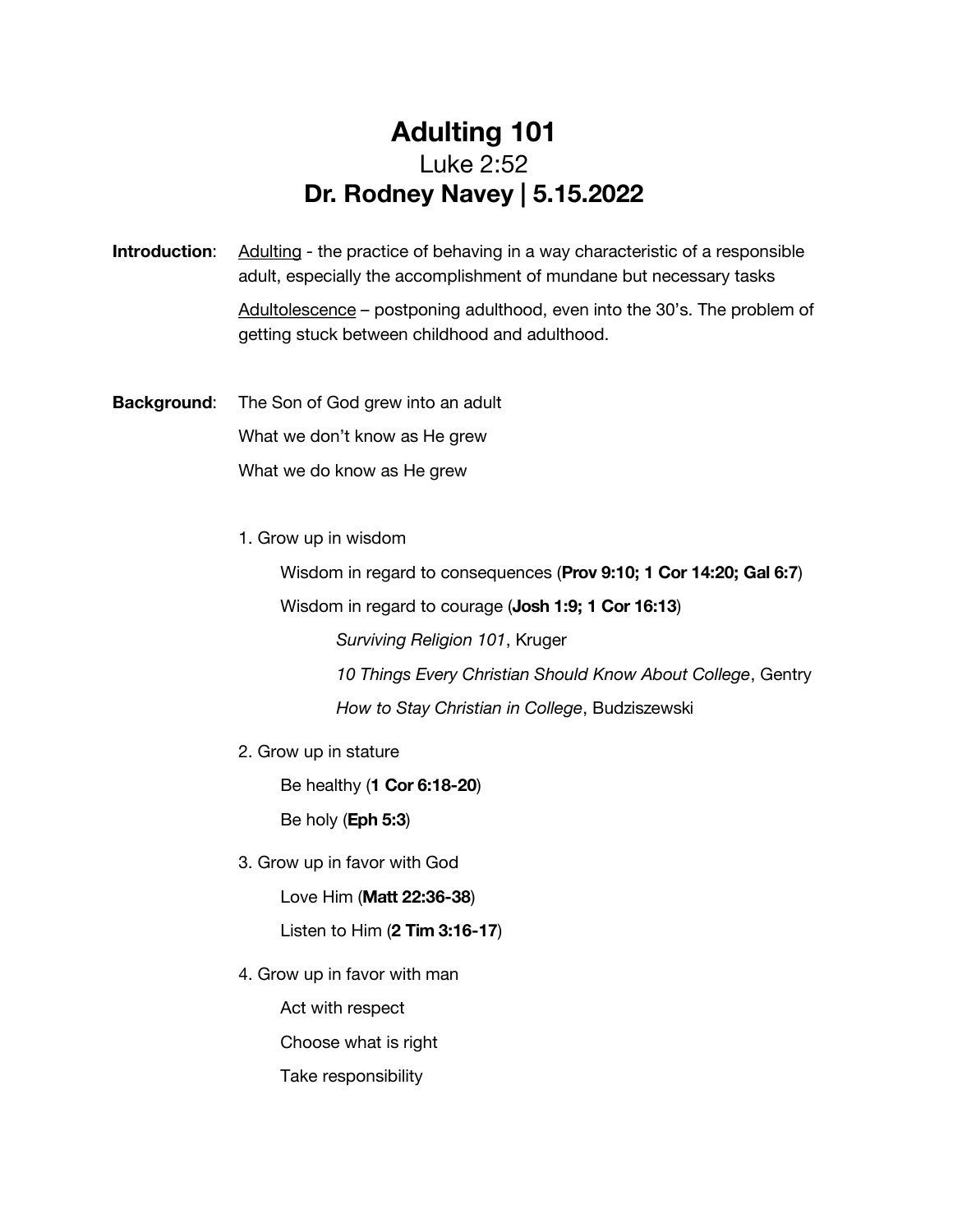## Adulting 101 Luke 2:52 Dr. Rodney Navey | 5.15.2022

**Introduction:** Adulting - the practice of behaving in a way characteristic of a responsible adult, especially the accomplishment of mundane but necessary tasks

> Adultolescence – postponing adulthood, even into the 30's. The problem of getting stuck between childhood and adulthood.

Background: The Son of God grew into an adult What we don't know as He grew What we do know as He grew

1. Grow up in wisdom

Wisdom in regard to consequences (Prov 9:10; 1 Cor 14:20; Gal 6:7)

Wisdom in regard to courage (Josh 1:9; 1 Cor 16:13)

*Surviving Religion 101*, Kruger

*10 Things Every Christian Should Know About College*, Gentry *How to Stay Christian in College*, Budziszewski

2. Grow up in stature

Be healthy (1 Cor 6:18-20)

Be holy (Eph 5:3)

3. Grow up in favor with God

Love Him (Matt 22:36-38)

Listen to Him (2 Tim 3:16-17)

4. Grow up in favor with man

Act with respect

Choose what is right

Take responsibility